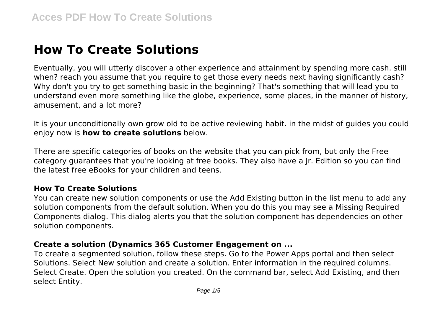# **How To Create Solutions**

Eventually, you will utterly discover a other experience and attainment by spending more cash. still when? reach you assume that you require to get those every needs next having significantly cash? Why don't you try to get something basic in the beginning? That's something that will lead you to understand even more something like the globe, experience, some places, in the manner of history, amusement, and a lot more?

It is your unconditionally own grow old to be active reviewing habit. in the midst of guides you could enjoy now is **how to create solutions** below.

There are specific categories of books on the website that you can pick from, but only the Free category guarantees that you're looking at free books. They also have a Jr. Edition so you can find the latest free eBooks for your children and teens.

#### **How To Create Solutions**

You can create new solution components or use the Add Existing button in the list menu to add any solution components from the default solution. When you do this you may see a Missing Required Components dialog. This dialog alerts you that the solution component has dependencies on other solution components.

#### **Create a solution (Dynamics 365 Customer Engagement on ...**

To create a segmented solution, follow these steps. Go to the Power Apps portal and then select Solutions. Select New solution and create a solution. Enter information in the required columns. Select Create. Open the solution you created. On the command bar, select Add Existing, and then select Entity.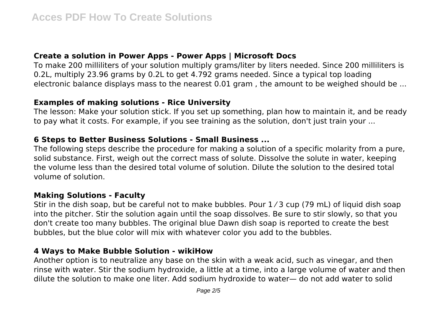#### **Create a solution in Power Apps - Power Apps | Microsoft Docs**

To make 200 milliliters of your solution multiply grams/liter by liters needed. Since 200 milliliters is 0.2L, multiply 23.96 grams by 0.2L to get 4.792 grams needed. Since a typical top loading electronic balance displays mass to the nearest 0.01 gram , the amount to be weighed should be ...

#### **Examples of making solutions - Rice University**

The lesson: Make your solution stick. If you set up something, plan how to maintain it, and be ready to pay what it costs. For example, if you see training as the solution, don't just train your ...

#### **6 Steps to Better Business Solutions - Small Business ...**

The following steps describe the procedure for making a solution of a specific molarity from a pure, solid substance. First, weigh out the correct mass of solute. Dissolve the solute in water, keeping the volume less than the desired total volume of solution. Dilute the solution to the desired total volume of solution.

#### **Making Solutions - Faculty**

Stir in the dish soap, but be careful not to make bubbles. Pour 1/3 cup (79 mL) of liquid dish soap into the pitcher. Stir the solution again until the soap dissolves. Be sure to stir slowly, so that you don't create too many bubbles. The original blue Dawn dish soap is reported to create the best bubbles, but the blue color will mix with whatever color you add to the bubbles.

#### **4 Ways to Make Bubble Solution - wikiHow**

Another option is to neutralize any base on the skin with a weak acid, such as vinegar, and then rinse with water. Stir the sodium hydroxide, a little at a time, into a large volume of water and then dilute the solution to make one liter. Add sodium hydroxide to water— do not add water to solid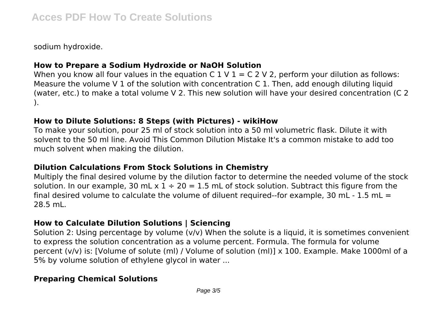sodium hydroxide.

# **How to Prepare a Sodium Hydroxide or NaOH Solution**

When you know all four values in the equation C  $1 \vee 1 = C 2 \vee 2$ , perform your dilution as follows: Measure the volume V 1 of the solution with concentration C 1. Then, add enough diluting liquid (water, etc.) to make a total volume V 2. This new solution will have your desired concentration (C 2 ).

#### **How to Dilute Solutions: 8 Steps (with Pictures) - wikiHow**

To make your solution, pour 25 ml of stock solution into a 50 ml volumetric flask. Dilute it with solvent to the 50 ml line. Avoid This Common Dilution Mistake It's a common mistake to add too much solvent when making the dilution.

# **Dilution Calculations From Stock Solutions in Chemistry**

Multiply the final desired volume by the dilution factor to determine the needed volume of the stock solution. In our example, 30 mL  $x$  1 ÷ 20 = 1.5 mL of stock solution. Subtract this figure from the final desired volume to calculate the volume of diluent required--for example, 30 mL - 1.5 mL = 28.5 mL.

# **How to Calculate Dilution Solutions | Sciencing**

Solution 2: Using percentage by volume (v/v) When the solute is a liquid, it is sometimes convenient to express the solution concentration as a volume percent. Formula. The formula for volume percent (v/v) is: [Volume of solute (ml) / Volume of solution (ml)] x 100. Example. Make 1000ml of a 5% by volume solution of ethylene glycol in water ...

# **Preparing Chemical Solutions**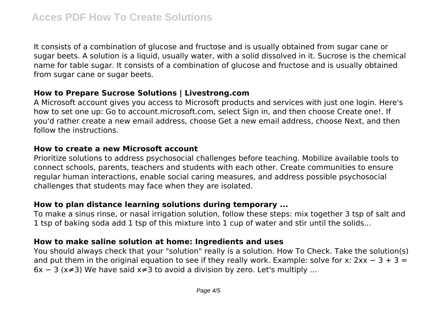It consists of a combination of glucose and fructose and is usually obtained from sugar cane or sugar beets. A solution is a liquid, usually water, with a solid dissolved in it. Sucrose is the chemical name for table sugar. It consists of a combination of glucose and fructose and is usually obtained from sugar cane or sugar beets.

#### **How to Prepare Sucrose Solutions | Livestrong.com**

A Microsoft account gives you access to Microsoft products and services with just one login. Here's how to set one up: Go to account.microsoft.com, select Sign in, and then choose Create one!. If you'd rather create a new email address, choose Get a new email address, choose Next, and then follow the instructions.

#### **How to create a new Microsoft account**

Prioritize solutions to address psychosocial challenges before teaching. Mobilize available tools to connect schools, parents, teachers and students with each other. Create communities to ensure regular human interactions, enable social caring measures, and address possible psychosocial challenges that students may face when they are isolated.

# **How to plan distance learning solutions during temporary ...**

To make a sinus rinse, or nasal irrigation solution, follow these steps: mix together 3 tsp of salt and 1 tsp of baking soda add 1 tsp of this mixture into 1 cup of water and stir until the solids...

# **How to make saline solution at home: Ingredients and uses**

You should always check that your "solution" really is a solution. How To Check. Take the solution(s) and put them in the original equation to see if they really work. Example: solve for x:  $2xx - 3 + 3 =$  $6x - 3$  (x≠3) We have said x≠3 to avoid a division by zero. Let's multiply ...